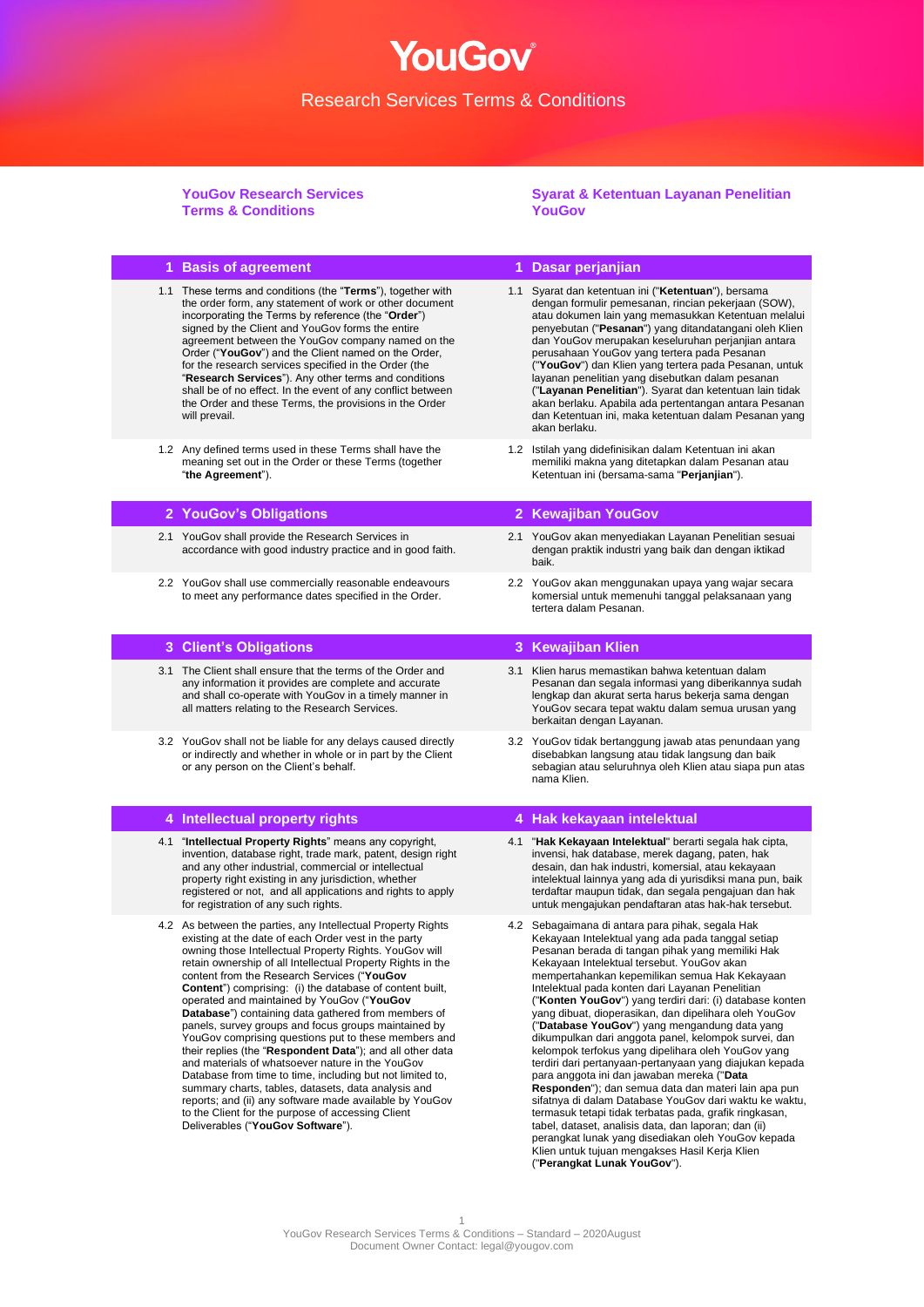YouGov®

**YouGov Research Services Terms & Conditions**

**Syarat & Ketentuan Layanan Penelitian YouGov**

| 1 Basis of agreement                                                                                                                                                                                                                                                                                                                                                                                                                                                                                                                                                                                                                                                                                                                                                                                                                                                                                                                                                            |     | 1 Dasar perjanjian                                                                                                                                                                                                                                                                                                                                                                                                                                                                                                                                                                                                                                                                                                                                                                                                                                                                                                                                                                                                                                                                 |
|---------------------------------------------------------------------------------------------------------------------------------------------------------------------------------------------------------------------------------------------------------------------------------------------------------------------------------------------------------------------------------------------------------------------------------------------------------------------------------------------------------------------------------------------------------------------------------------------------------------------------------------------------------------------------------------------------------------------------------------------------------------------------------------------------------------------------------------------------------------------------------------------------------------------------------------------------------------------------------|-----|------------------------------------------------------------------------------------------------------------------------------------------------------------------------------------------------------------------------------------------------------------------------------------------------------------------------------------------------------------------------------------------------------------------------------------------------------------------------------------------------------------------------------------------------------------------------------------------------------------------------------------------------------------------------------------------------------------------------------------------------------------------------------------------------------------------------------------------------------------------------------------------------------------------------------------------------------------------------------------------------------------------------------------------------------------------------------------|
| 1.1 These terms and conditions (the "Terms"), together with<br>the order form, any statement of work or other document<br>incorporating the Terms by reference (the "Order")<br>signed by the Client and YouGov forms the entire<br>agreement between the YouGov company named on the<br>Order ("YouGov") and the Client named on the Order,<br>for the research services specified in the Order (the<br>"Research Services"). Any other terms and conditions<br>shall be of no effect. In the event of any conflict between<br>the Order and these Terms, the provisions in the Order<br>will prevail.                                                                                                                                                                                                                                                                                                                                                                         |     | 1.1 Syarat dan ketentuan ini ("Ketentuan"), bersama<br>dengan formulir pemesanan, rincian pekerjaan (SOW),<br>atau dokumen lain yang memasukkan Ketentuan melalui<br>penyebutan ("Pesanan") yang ditandatangani oleh Klien<br>dan YouGov merupakan keseluruhan perjanjian antara<br>perusahaan YouGov yang tertera pada Pesanan<br>("YouGov") dan Klien yang tertera pada Pesanan, untuk<br>layanan penelitian yang disebutkan dalam pesanan<br>("Layanan Penelitian"). Syarat dan ketentuan lain tidak<br>akan berlaku. Apabila ada pertentangan antara Pesanan<br>dan Ketentuan ini, maka ketentuan dalam Pesanan yang<br>akan berlaku.                                                                                                                                                                                                                                                                                                                                                                                                                                          |
| 1.2 Any defined terms used in these Terms shall have the<br>meaning set out in the Order or these Terms (together<br>"the Agreement").                                                                                                                                                                                                                                                                                                                                                                                                                                                                                                                                                                                                                                                                                                                                                                                                                                          |     | 1.2 Istilah yang didefinisikan dalam Ketentuan ini akan<br>memiliki makna yang ditetapkan dalam Pesanan atau<br>Ketentuan ini (bersama-sama "Perjanjian").                                                                                                                                                                                                                                                                                                                                                                                                                                                                                                                                                                                                                                                                                                                                                                                                                                                                                                                         |
| 2 YouGov's Obligations                                                                                                                                                                                                                                                                                                                                                                                                                                                                                                                                                                                                                                                                                                                                                                                                                                                                                                                                                          |     | 2 Kewajiban YouGov                                                                                                                                                                                                                                                                                                                                                                                                                                                                                                                                                                                                                                                                                                                                                                                                                                                                                                                                                                                                                                                                 |
| 2.1 YouGov shall provide the Research Services in<br>accordance with good industry practice and in good faith.                                                                                                                                                                                                                                                                                                                                                                                                                                                                                                                                                                                                                                                                                                                                                                                                                                                                  | 2.1 | YouGov akan menyediakan Layanan Penelitian sesuai<br>dengan praktik industri yang baik dan dengan iktikad<br>baik.                                                                                                                                                                                                                                                                                                                                                                                                                                                                                                                                                                                                                                                                                                                                                                                                                                                                                                                                                                 |
| 2.2 YouGov shall use commercially reasonable endeavours<br>to meet any performance dates specified in the Order.                                                                                                                                                                                                                                                                                                                                                                                                                                                                                                                                                                                                                                                                                                                                                                                                                                                                |     | 2.2 YouGov akan menggunakan upaya yang wajar secara<br>komersial untuk memenuhi tanggal pelaksanaan yang<br>tertera dalam Pesanan.                                                                                                                                                                                                                                                                                                                                                                                                                                                                                                                                                                                                                                                                                                                                                                                                                                                                                                                                                 |
| 3 Client's Obligations                                                                                                                                                                                                                                                                                                                                                                                                                                                                                                                                                                                                                                                                                                                                                                                                                                                                                                                                                          |     | 3 Kewajiban Klien                                                                                                                                                                                                                                                                                                                                                                                                                                                                                                                                                                                                                                                                                                                                                                                                                                                                                                                                                                                                                                                                  |
| 3.1 The Client shall ensure that the terms of the Order and<br>any information it provides are complete and accurate<br>and shall co-operate with YouGov in a timely manner in<br>all matters relating to the Research Services.                                                                                                                                                                                                                                                                                                                                                                                                                                                                                                                                                                                                                                                                                                                                                |     | 3.1 Klien harus memastikan bahwa ketentuan dalam<br>Pesanan dan segala informasi yang diberikannya sudah<br>lengkap dan akurat serta harus bekerja sama dengan<br>YouGov secara tepat waktu dalam semua urusan yang<br>berkaitan dengan Layanan.                                                                                                                                                                                                                                                                                                                                                                                                                                                                                                                                                                                                                                                                                                                                                                                                                                   |
| 3.2 YouGov shall not be liable for any delays caused directly<br>or indirectly and whether in whole or in part by the Client<br>or any person on the Client's behalf.                                                                                                                                                                                                                                                                                                                                                                                                                                                                                                                                                                                                                                                                                                                                                                                                           |     | 3.2 YouGov tidak bertanggung jawab atas penundaan yang<br>disebabkan langsung atau tidak langsung dan baik<br>sebagian atau seluruhnya oleh Klien atau siapa pun atas<br>nama Klien.                                                                                                                                                                                                                                                                                                                                                                                                                                                                                                                                                                                                                                                                                                                                                                                                                                                                                               |
| 4 Intellectual property rights                                                                                                                                                                                                                                                                                                                                                                                                                                                                                                                                                                                                                                                                                                                                                                                                                                                                                                                                                  |     | 4 Hak kekayaan intelektual                                                                                                                                                                                                                                                                                                                                                                                                                                                                                                                                                                                                                                                                                                                                                                                                                                                                                                                                                                                                                                                         |
| 4.1 "Intellectual Property Rights" means any copyright,<br>invention, database right, trade mark, patent, design right<br>and any other industrial, commercial or intellectual<br>property right existing in any jurisdiction, whether<br>registered or not, and all applications and rights to apply<br>for registration of any such rights.                                                                                                                                                                                                                                                                                                                                                                                                                                                                                                                                                                                                                                   |     | 4.1 "Hak Kekayaan Intelektual" berarti segala hak cipta,<br>invensi, hak database, merek dagang, paten, hak<br>desain, dan hak industri, komersial, atau kekayaan<br>intelektual lainnya yang ada di yurisdiksi mana pun, baik<br>terdaftar maupun tidak, dan segala pengajuan dan hak<br>untuk mengajukan pendaftaran atas hak-hak tersebut.                                                                                                                                                                                                                                                                                                                                                                                                                                                                                                                                                                                                                                                                                                                                      |
| 4.2 As between the parties, any Intellectual Property Rights<br>existing at the date of each Order vest in the party<br>owning those Intellectual Property Rights. YouGov will<br>retain ownership of all Intellectual Property Rights in the<br>content from the Research Services ("YouGov<br><b>Content</b> ") comprising: (i) the database of content built,<br>operated and maintained by YouGov ("YouGov<br>Database") containing data gathered from members of<br>panels, survey groups and focus groups maintained by<br>YouGov comprising questions put to these members and<br>their replies (the "Respondent Data"); and all other data<br>and materials of whatsoever nature in the YouGov<br>Database from time to time, including but not limited to,<br>summary charts, tables, datasets, data analysis and<br>reports; and (ii) any software made available by YouGov<br>to the Client for the purpose of accessing Client<br>Deliverables ("YouGov Software"). |     | 4.2 Sebagaimana di antara para pihak, segala Hak<br>Kekayaan Intelektual yang ada pada tanggal setiap<br>Pesanan berada di tangan pihak yang memiliki Hak<br>Kekayaan Intelektual tersebut. YouGov akan<br>mempertahankan kepemilikan semua Hak Kekayaan<br>Intelektual pada konten dari Layanan Penelitian<br>("Konten YouGov") yang terdiri dari: (i) database konten<br>yang dibuat, dioperasikan, dan dipelihara oleh YouGov<br>("Database YouGov") yang mengandung data yang<br>dikumpulkan dari anggota panel, kelompok survei, dan<br>kelompok terfokus yang dipelihara oleh YouGov yang<br>terdiri dari pertanyaan-pertanyaan yang diajukan kepada<br>para anggota ini dan jawaban mereka ("Data<br>Responden"); dan semua data dan materi lain apa pun<br>sifatnya di dalam Database YouGov dari waktu ke waktu,<br>termasuk tetapi tidak terbatas pada, grafik ringkasan,<br>tabel, dataset, analisis data, dan laporan; dan (ii)<br>perangkat lunak yang disediakan oleh YouGov kepada<br>Klien untuk tujuan mengakses Hasil Kerja Klien<br>("Perangkat Lunak YouGov"). |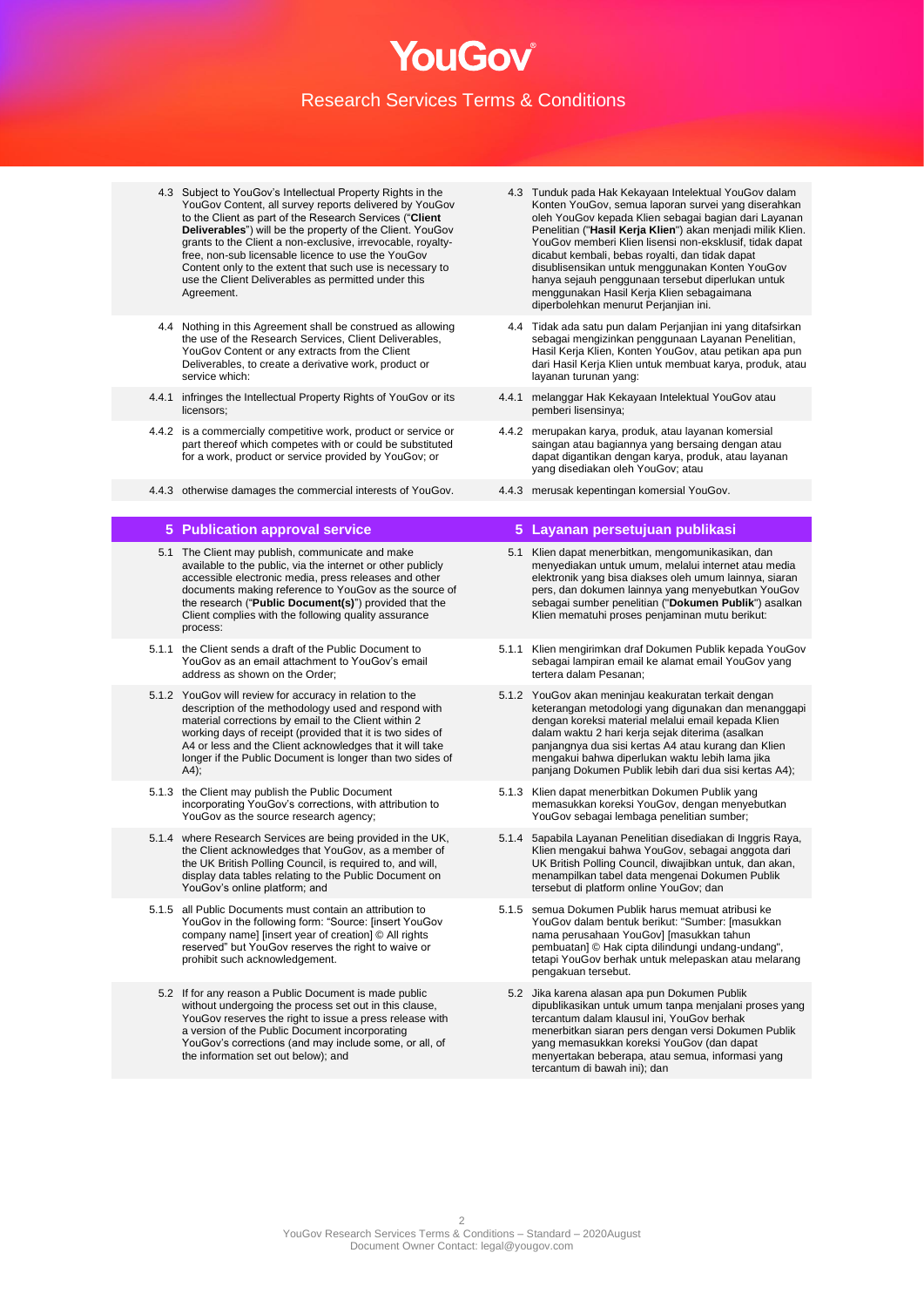- 4.3 Subject to YouGov's Intellectual Property Rights in the YouGov Content, all survey reports delivered by YouGov to the Client as part of the Research Services ("**Client Deliverables**") will be the property of the Client. YouGov grants to the Client a non-exclusive, irrevocable, royaltyfree, non-sub licensable licence to use the YouGov Content only to the extent that such use is necessary to use the Client Deliverables as permitted under this Agreement.
- 4.4 Nothing in this Agreement shall be construed as allowing the use of the Research Services, Client Deliverables, YouGov Content or any extracts from the Client Deliverables, to create a derivative work, product or service which:
- 4.4.1 infringes the Intellectual Property Rights of YouGov or its licensors;
- 4.4.2 is a commercially competitive work, product or service or part thereof which competes with or could be substituted for a work, product or service provided by YouGov; or
- 4.4.3 otherwise damages the commercial interests of YouGov. 4.4.3 merusak kepentingan komersial YouGov.

- 5.1 The Client may publish, communicate and make available to the public, via the internet or other publicly accessible electronic media, press releases and other documents making reference to YouGov as the source of the research ("**Public Document(s)**") provided that the Client complies with the following quality assurance process:
- 5.1.1 the Client sends a draft of the Public Document to YouGov as an email attachment to YouGov's email address as shown on the Order;
- 5.1.2 YouGov will review for accuracy in relation to the description of the methodology used and respond with material corrections by email to the Client within 2 working days of receipt (provided that it is two sides of A4 or less and the Client acknowledges that it will take longer if the Public Document is longer than two sides of  $A4$ ):
- 5.1.3 the Client may publish the Public Document incorporating YouGov's corrections, with attribution to YouGov as the source research agency;
- 5.1.4 where Research Services are being provided in the UK, the Client acknowledges that YouGov, as a member of the UK British Polling Council, is required to, and will, display data tables relating to the Public Document on YouGov's online platform; and
- 5.1.5 all Public Documents must contain an attribution to YouGov in the following form: "Source: [insert YouGov company name] [insert year of creation] © All rights reserved" but YouGov reserves the right to waive or prohibit such acknowledgement.
	- 5.2 If for any reason a Public Document is made public without undergoing the process set out in this clause, YouGov reserves the right to issue a press release with a version of the Public Document incorporating YouGov's corrections (and may include some, or all, of the information set out below); and
- 4.3 Tunduk pada Hak Kekayaan Intelektual YouGov dalam Konten YouGov, semua laporan survei yang diserahkan oleh YouGov kepada Klien sebagai bagian dari Layanan Penelitian ("**Hasil Kerja Klien**") akan menjadi milik Klien. YouGov memberi Klien lisensi non-eksklusif, tidak dapat dicabut kembali, bebas royalti, dan tidak dapat disublisensikan untuk menggunakan Konten YouGov hanya sejauh penggunaan tersebut diperlukan untuk menggunakan Hasil Kerja Klien sebagaimana diperbolehkan menurut Perjanjian ini.
- 4.4 Tidak ada satu pun dalam Perjanjian ini yang ditafsirkan sebagai mengizinkan penggunaan Layanan Penelitian, Hasil Kerja Klien, Konten YouGov, atau petikan apa pun dari Hasil Kerja Klien untuk membuat karya, produk, atau layanan turunan yang:
- 4.4.1 melanggar Hak Kekayaan Intelektual YouGov atau pemberi lisensinya;
- 4.4.2 merupakan karya, produk, atau layanan komersial saingan atau bagiannya yang bersaing dengan atau dapat digantikan dengan karya, produk, atau layanan yang disediakan oleh YouGov; atau
- 

## **5 Publication approval service 5 Layanan persetujuan publikasi**

- 5.1 Klien dapat menerbitkan, mengomunikasikan, dan menyediakan untuk umum, melalui internet atau media elektronik yang bisa diakses oleh umum lainnya, siaran pers, dan dokumen lainnya yang menyebutkan YouGov sebagai sumber penelitian ("**Dokumen Publik**") asalkan Klien mematuhi proses penjaminan mutu berikut:
- 5.1.1 Klien mengirimkan draf Dokumen Publik kepada YouGov sebagai lampiran email ke alamat email YouGov yang tertera dalam Pesanan;
- 5.1.2 YouGov akan meninjau keakuratan terkait dengan keterangan metodologi yang digunakan dan menanggapi dengan koreksi material melalui email kepada Klien dalam waktu 2 hari kerja sejak diterima (asalkan panjangnya dua sisi kertas A4 atau kurang dan Klien mengakui bahwa diperlukan waktu lebih lama jika panjang Dokumen Publik lebih dari dua sisi kertas A4);
- 5.1.3 Klien dapat menerbitkan Dokumen Publik yang memasukkan koreksi YouGov, dengan menyebutkan YouGov sebagai lembaga penelitian sumber;
- 5.1.4 5apabila Layanan Penelitian disediakan di Inggris Raya, Klien mengakui bahwa YouGov, sebagai anggota dari UK British Polling Council, diwajibkan untuk, dan akan, menampilkan tabel data mengenai Dokumen Publik tersebut di platform online YouGov; dan
- 5.1.5 semua Dokumen Publik harus memuat atribusi ke YouGov dalam bentuk berikut: "Sumber: [masukkan nama perusahaan YouGov] [masukkan tahun pembuatan] © Hak cipta dilindungi undang-undang", tetapi YouGov berhak untuk melepaskan atau melarang pengakuan tersebut.
- 5.2 Jika karena alasan apa pun Dokumen Publik dipublikasikan untuk umum tanpa menjalani proses yang tercantum dalam klausul ini, YouGov berhak menerbitkan siaran pers dengan versi Dokumen Publik yang memasukkan koreksi YouGov (dan dapat menyertakan beberapa, atau semua, informasi yang tercantum di bawah ini); dan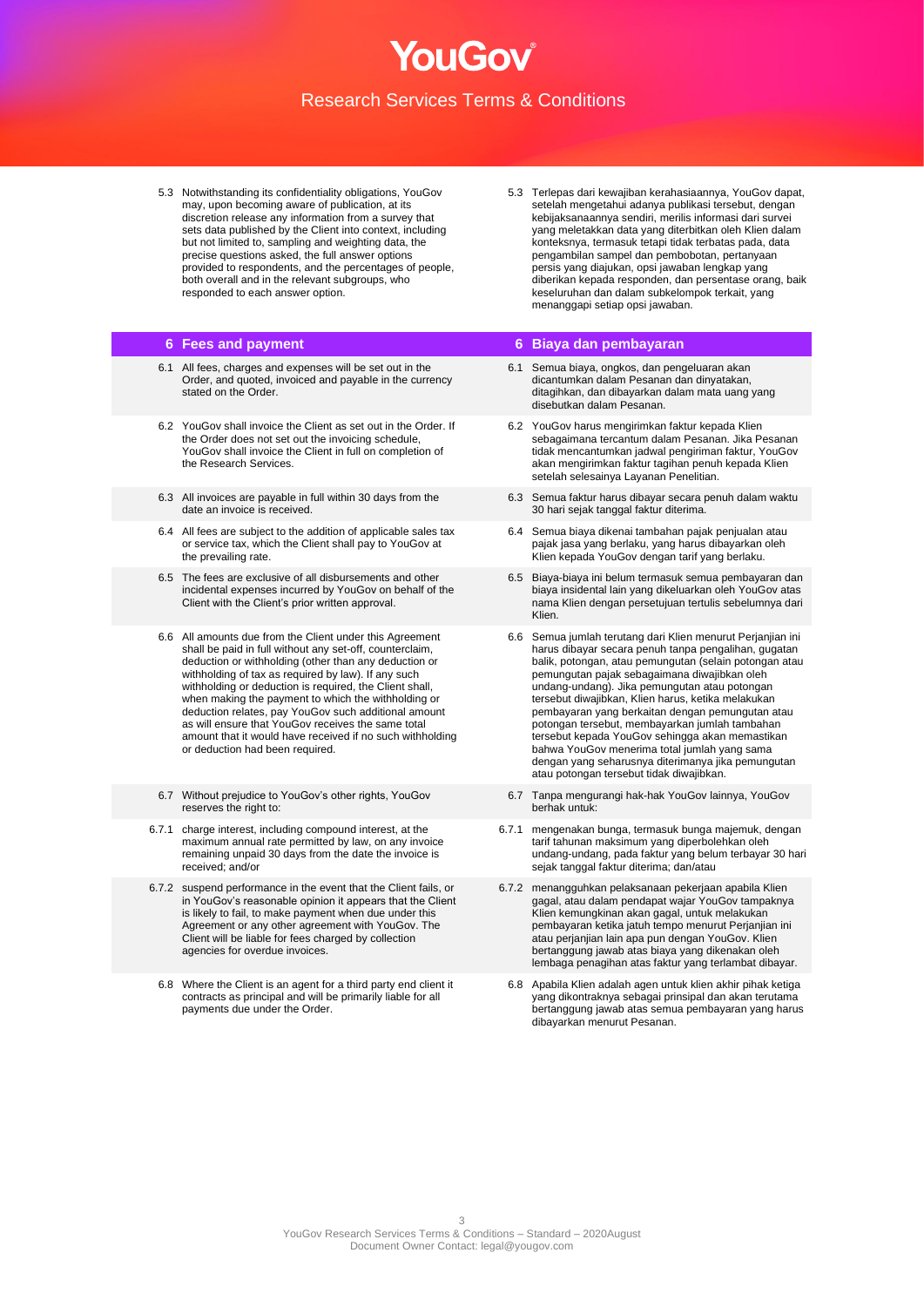NOF JI IC

5.3 Notwithstanding its confidentiality obligations, YouGov may, upon becoming aware of publication, at its discretion release any information from a survey that sets data published by the Client into context, including but not limited to, sampling and weighting data, the precise questions asked, the full answer options provided to respondents, and the percentages of people, both overall and in the relevant subgroups, who responded to each answer option.

- 6.1 All fees, charges and expenses will be set out in the Order, and quoted, invoiced and payable in the currency stated on the Order.
- 6.2 YouGov shall invoice the Client as set out in the Order. If the Order does not set out the invoicing schedule, YouGov shall invoice the Client in full on completion of the Research Services.
- 6.3 All invoices are payable in full within 30 days from the date an invoice is received.
- 6.4 All fees are subject to the addition of applicable sales tax or service tax, which the Client shall pay to YouGov at the prevailing rate.
- 6.5 The fees are exclusive of all disbursements and other incidental expenses incurred by YouGov on behalf of the Client with the Client's prior written approval.
- 6.6 All amounts due from the Client under this Agreement shall be paid in full without any set-off, counterclaim, deduction or withholding (other than any deduction or withholding of tax as required by law). If any such withholding or deduction is required, the Client shall, when making the payment to which the withholding or deduction relates, pay YouGov such additional amount as will ensure that YouGov receives the same total amount that it would have received if no such withholding or deduction had been required.
- 6.7 Without prejudice to YouGov's other rights, YouGov reserves the right to:
- 6.7.1 charge interest, including compound interest, at the maximum annual rate permitted by law, on any invoice remaining unpaid 30 days from the date the invoice is received; and/or
- 6.7.2 suspend performance in the event that the Client fails, or in YouGov's reasonable opinion it appears that the Client is likely to fail, to make payment when due under this Agreement or any other agreement with YouGov. The Client will be liable for fees charged by collection agencies for overdue invoices.
- 6.8 Where the Client is an agent for a third party end client it contracts as principal and will be primarily liable for all payments due under the Order.

5.3 Terlepas dari kewajiban kerahasiaannya, YouGov dapat, setelah mengetahui adanya publikasi tersebut, dengan kebijaksanaannya sendiri, merilis informasi dari survei yang meletakkan data yang diterbitkan oleh Klien dalam konteksnya, termasuk tetapi tidak terbatas pada, data pengambilan sampel dan pembobotan, pertanyaan persis yang diajukan, opsi jawaban lengkap yang diberikan kepada responden, dan persentase orang, baik keseluruhan dan dalam subkelompok terkait, yang menanggapi setiap opsi jawaban.

### **6 Fees and payment 6 Biaya dan pembayaran**

- 6.1 Semua biaya, ongkos, dan pengeluaran akan dicantumkan dalam Pesanan dan dinyatakan, ditagihkan, dan dibayarkan dalam mata uang yang disebutkan dalam Pesanan.
- 6.2 YouGov harus mengirimkan faktur kepada Klien sebagaimana tercantum dalam Pesanan. Jika Pesanan tidak mencantumkan jadwal pengiriman faktur, YouGov akan mengirimkan faktur tagihan penuh kepada Klien setelah selesainya Layanan Penelitian.
- 6.3 Semua faktur harus dibayar secara penuh dalam waktu 30 hari sejak tanggal faktur diterima.
- 6.4 Semua biaya dikenai tambahan pajak penjualan atau pajak jasa yang berlaku, yang harus dibayarkan oleh Klien kepada YouGov dengan tarif yang berlaku.
- 6.5 Biaya-biaya ini belum termasuk semua pembayaran dan biaya insidental lain yang dikeluarkan oleh YouGov atas nama Klien dengan persetujuan tertulis sebelumnya dari Klien.
- 6.6 Semua jumlah terutang dari Klien menurut Perjanjian ini harus dibayar secara penuh tanpa pengalihan, gugatan balik, potongan, atau pemungutan (selain potongan atau pemungutan pajak sebagaimana diwajibkan oleh undang-undang). Jika pemungutan atau potongan tersebut diwajibkan, Klien harus, ketika melakukan pembayaran yang berkaitan dengan pemungutan atau potongan tersebut, membayarkan jumlah tambahan tersebut kepada YouGov sehingga akan memastikan bahwa YouGov menerima total jumlah yang sama dengan yang seharusnya diterimanya jika pemungutan atau potongan tersebut tidak diwajibkan.
- 6.7 Tanpa mengurangi hak-hak YouGov lainnya, YouGov berhak untuk:
- 6.7.1 mengenakan bunga, termasuk bunga majemuk, dengan tarif tahunan maksimum yang diperbolehkan oleh undang-undang, pada faktur yang belum terbayar 30 hari sejak tanggal faktur diterima; dan/atau
- 6.7.2 menangguhkan pelaksanaan pekerjaan apabila Klien gagal, atau dalam pendapat wajar YouGov tampaknya Klien kemungkinan akan gagal, untuk melakukan pembayaran ketika jatuh tempo menurut Perjanjian ini atau perjanjian lain apa pun dengan YouGov. Klien bertanggung jawab atas biaya yang dikenakan oleh lembaga penagihan atas faktur yang terlambat dibayar.
- 6.8 Apabila Klien adalah agen untuk klien akhir pihak ketiga yang dikontraknya sebagai prinsipal dan akan terutama bertanggung jawab atas semua pembayaran yang harus dibayarkan menurut Pesanan.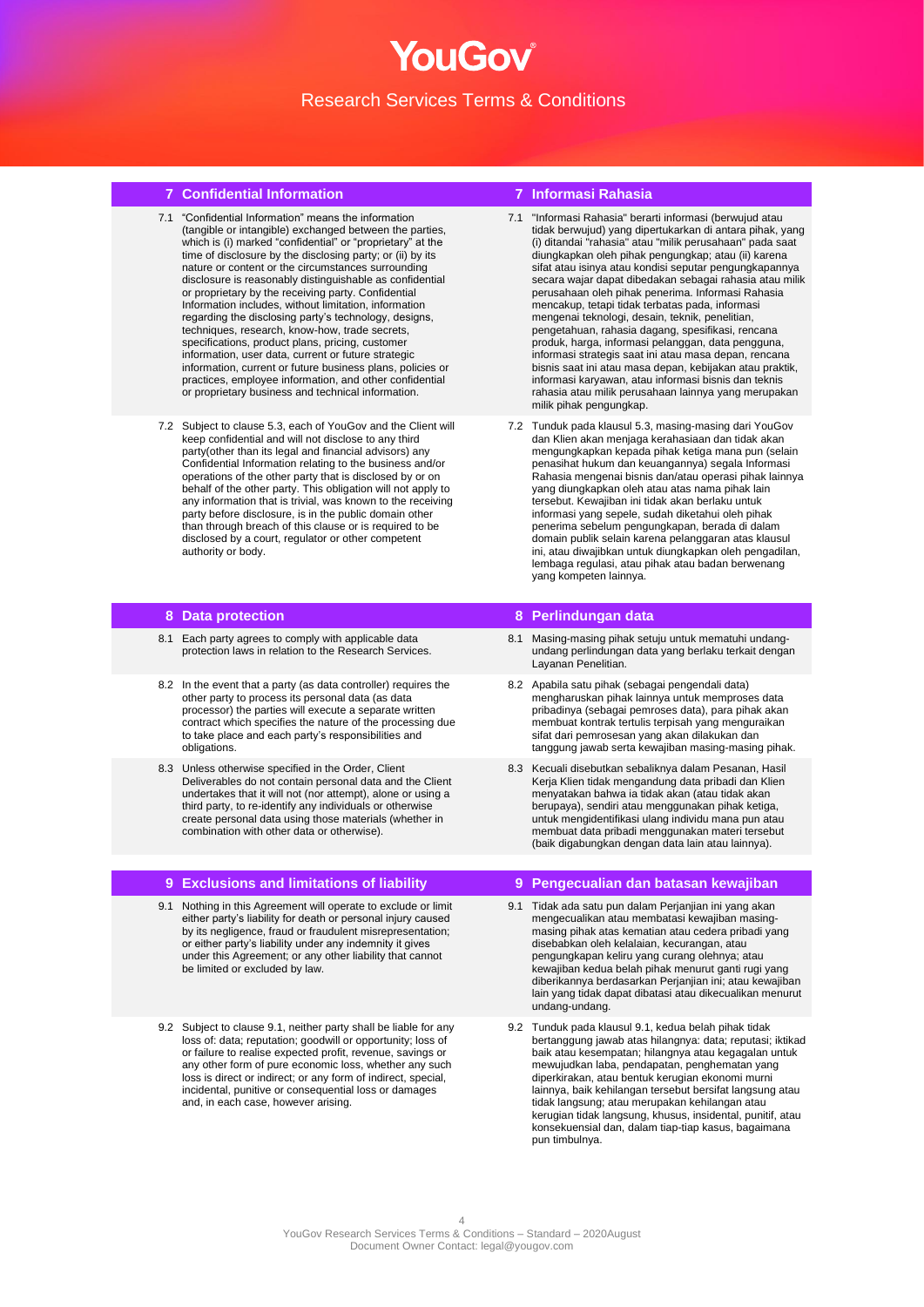## NOF JI IC Research Services Terms & Conditions

## **7 Confidential Information 7 Informasi Rahasia**

- 7.1 "Confidential Information" means the information (tangible or intangible) exchanged between the parties, which is (i) marked "confidential" or "proprietary" at the time of disclosure by the disclosing party; or (ii) by its nature or content or the circumstances surrounding disclosure is reasonably distinguishable as confidential or proprietary by the receiving party. Confidential Information includes, without limitation, information regarding the disclosing party's technology, designs, techniques, research, know-how, trade secrets, specifications, product plans, pricing, customer information, user data, current or future strategic information, current or future business plans, policies or practices, employee information, and other confidential or proprietary business and technical information.
- 7.2 Subject to clause 5.3, each of YouGov and the Client will keep confidential and will not disclose to any third party(other than its legal and financial advisors) any Confidential Information relating to the business and/or operations of the other party that is disclosed by or on behalf of the other party. This obligation will not apply to any information that is trivial, was known to the receiving party before disclosure, is in the public domain other than through breach of this clause or is required to be disclosed by a court, regulator or other competent authority or body.

- 8.1 Each party agrees to comply with applicable data protection laws in relation to the Research Services.
- 8.2 In the event that a party (as data controller) requires the other party to process its personal data (as data processor) the parties will execute a separate written contract which specifies the nature of the processing due to take place and each party's responsibilities and obligations.
- 8.3 Unless otherwise specified in the Order, Client Deliverables do not contain personal data and the Client undertakes that it will not (nor attempt), alone or using a third party, to re-identify any individuals or otherwise create personal data using those materials (whether in combination with other data or otherwise).

- 9.1 Nothing in this Agreement will operate to exclude or limit either party's liability for death or personal injury caused by its negligence, fraud or fraudulent misrepresentation; or either party's liability under any indemnity it gives under this Agreement; or any other liability that cannot be limited or excluded by law.
- 9.2 Subject to clause 9.1, neither party shall be liable for any loss of: data; reputation; goodwill or opportunity; loss of or failure to realise expected profit, revenue, savings or any other form of pure economic loss, whether any such loss is direct or indirect; or any form of indirect, special, incidental, punitive or consequential loss or damages and, in each case, however arising.

- 7.1 "Informasi Rahasia" berarti informasi (berwujud atau tidak berwujud) yang dipertukarkan di antara pihak, yang (i) ditandai "rahasia" atau "milik perusahaan" pada saat diungkapkan oleh pihak pengungkap; atau (ii) karena sifat atau isinya atau kondisi seputar pengungkapannya secara wajar dapat dibedakan sebagai rahasia atau milik perusahaan oleh pihak penerima. Informasi Rahasia mencakup, tetapi tidak terbatas pada, informasi mengenai teknologi, desain, teknik, penelitian, pengetahuan, rahasia dagang, spesifikasi, rencana produk, harga, informasi pelanggan, data pengguna, informasi strategis saat ini atau masa depan, rencana bisnis saat ini atau masa depan, kebijakan atau praktik, informasi karyawan, atau informasi bisnis dan teknis rahasia atau milik perusahaan lainnya yang merupakan milik pihak pengungkap.
- 7.2 Tunduk pada klausul 5.3, masing-masing dari YouGov dan Klien akan menjaga kerahasiaan dan tidak akan mengungkapkan kepada pihak ketiga mana pun (selain penasihat hukum dan keuangannya) segala Informasi Rahasia mengenai bisnis dan/atau operasi pihak lainnya yang diungkapkan oleh atau atas nama pihak lain tersebut. Kewajiban ini tidak akan berlaku untuk informasi yang sepele, sudah diketahui oleh pihak penerima sebelum pengungkapan, berada di dalam domain publik selain karena pelanggaran atas klausul ini, atau diwajibkan untuk diungkapkan oleh pengadilan, lembaga regulasi, atau pihak atau badan berwenang yang kompeten lainnya.

## **8 Data protection 8 Perlindungan data**

- 8.1 Masing-masing pihak setuju untuk mematuhi undangundang perlindungan data yang berlaku terkait dengan Layanan Penelitian.
- 8.2 Apabila satu pihak (sebagai pengendali data) mengharuskan pihak lainnya untuk memproses data pribadinya (sebagai pemroses data), para pihak akan membuat kontrak tertulis terpisah yang menguraikan sifat dari pemrosesan yang akan dilakukan dan tanggung jawab serta kewajiban masing-masing pihak.
- 8.3 Kecuali disebutkan sebaliknya dalam Pesanan, Hasil Kerja Klien tidak mengandung data pribadi dan Klien menyatakan bahwa ia tidak akan (atau tidak akan berupaya), sendiri atau menggunakan pihak ketiga, untuk mengidentifikasi ulang individu mana pun atau membuat data pribadi menggunakan materi tersebut (baik digabungkan dengan data lain atau lainnya).

### **9 Exclusions and limitations of liability 9 Pengecualian dan batasan kewajiban**

- 9.1 Tidak ada satu pun dalam Perjanjian ini yang akan mengecualikan atau membatasi kewajiban masingmasing pihak atas kematian atau cedera pribadi yang disebabkan oleh kelalaian, kecurangan, atau pengungkapan keliru yang curang olehnya; atau kewajiban kedua belah pihak menurut ganti rugi yang diberikannya berdasarkan Perjanjian ini; atau kewajiban lain yang tidak dapat dibatasi atau dikecualikan menurut undang-undang.
- 9.2 Tunduk pada klausul 9.1, kedua belah pihak tidak bertanggung jawab atas hilangnya: data; reputasi; iktikad baik atau kesempatan; hilangnya atau kegagalan untuk mewujudkan laba, pendapatan, penghematan yang diperkirakan, atau bentuk kerugian ekonomi murni lainnya, baik kehilangan tersebut bersifat langsung atau tidak langsung; atau merupakan kehilangan atau kerugian tidak langsung, khusus, insidental, punitif, atau konsekuensial dan, dalam tiap-tiap kasus, bagaimana pun timbulnya.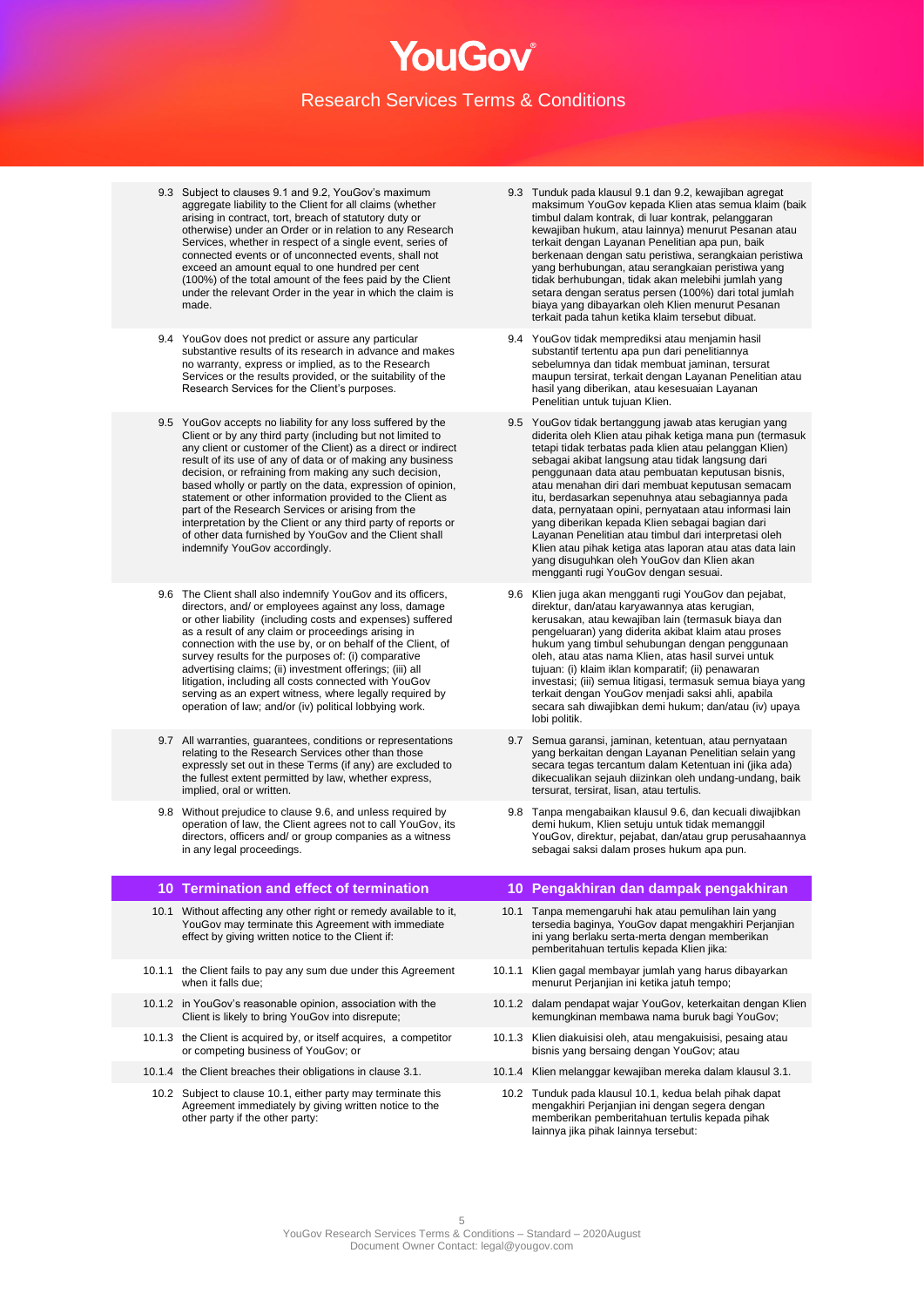- 9.3 Subject to clauses 9.1 and 9.2, YouGov's maximum aggregate liability to the Client for all claims (whether arising in contract, tort, breach of statutory duty or otherwise) under an Order or in relation to any Research Services, whether in respect of a single event, series of connected events or of unconnected events, shall not exceed an amount equal to one hundred per cent (100%) of the total amount of the fees paid by the Client under the relevant Order in the year in which the claim is made.
- 9.4 YouGov does not predict or assure any particular substantive results of its research in advance and makes no warranty, express or implied, as to the Research Services or the results provided, or the suitability of the Research Services for the Client's purposes.
- 9.5 YouGov accepts no liability for any loss suffered by the Client or by any third party (including but not limited to any client or customer of the Client) as a direct or indirect result of its use of any of data or of making any business decision, or refraining from making any such decision, based wholly or partly on the data, expression of opinion, statement or other information provided to the Client as part of the Research Services or arising from the interpretation by the Client or any third party of reports or of other data furnished by YouGov and the Client shall indemnify YouGov accordingly.
- 9.6 The Client shall also indemnify YouGov and its officers, directors, and/ or employees against any loss, damage or other liability (including costs and expenses) suffered as a result of any claim or proceedings arising in connection with the use by, or on behalf of the Client, of survey results for the purposes of: (i) comparative advertising claims; (ii) investment offerings; (iii) all litigation, including all costs connected with YouGov serving as an expert witness, where legally required by operation of law; and/or (iv) political lobbying work.
- 9.7 All warranties, guarantees, conditions or representations relating to the Research Services other than those expressly set out in these Terms (if any) are excluded to the fullest extent permitted by law, whether express, implied, oral or written.
- 9.8 Without prejudice to clause 9.6, and unless required by operation of law, the Client agrees not to call YouGov, its directors, officers and/ or group companies as a witness in any legal proceedings.

- 10.1 Without affecting any other right or remedy available to it. YouGov may terminate this Agreement with immediate effect by giving written notice to the Client if:
- 10.1.1 the Client fails to pay any sum due under this Agreement when it falls due;
- 10.1.2 in YouGov's reasonable opinion, association with the Client is likely to bring YouGov into disrepute;
- 10.1.3 the Client is acquired by, or itself acquires, a competitor or competing business of YouGov; or
- 
- 10.2 Subject to clause 10.1, either party may terminate this Agreement immediately by giving written notice to the other party if the other party:
- 9.3 Tunduk pada klausul 9.1 dan 9.2, kewajiban agregat maksimum YouGov kepada Klien atas semua klaim (baik timbul dalam kontrak, di luar kontrak, pelanggaran kewajiban hukum, atau lainnya) menurut Pesanan atau terkait dengan Layanan Penelitian apa pun, baik berkenaan dengan satu peristiwa, serangkaian peristiwa yang berhubungan, atau serangkaian peristiwa yang tidak berhubungan, tidak akan melebihi jumlah yang setara dengan seratus persen (100%) dari total jumlah biaya yang dibayarkan oleh Klien menurut Pesanan terkait pada tahun ketika klaim tersebut dibuat.
- 9.4 YouGov tidak memprediksi atau menjamin hasil substantif tertentu apa pun dari penelitiannya sebelumnya dan tidak membuat jaminan, tersurat maupun tersirat, terkait dengan Layanan Penelitian atau hasil yang diberikan, atau kesesuaian Layanan Penelitian untuk tujuan Klien.
- 9.5 YouGov tidak bertanggung jawab atas kerugian yang diderita oleh Klien atau pihak ketiga mana pun (termasuk tetapi tidak terbatas pada klien atau pelanggan Klien) sebagai akibat langsung atau tidak langsung dari penggunaan data atau pembuatan keputusan bisnis, atau menahan diri dari membuat keputusan semacam itu, berdasarkan sepenuhnya atau sebagiannya pada data, pernyataan opini, pernyataan atau informasi lain yang diberikan kepada Klien sebagai bagian dari Layanan Penelitian atau timbul dari interpretasi oleh Klien atau pihak ketiga atas laporan atau atas data lain yang disuguhkan oleh YouGov dan Klien akan mengganti rugi YouGov dengan sesuai.
- 9.6 Klien juga akan mengganti rugi YouGov dan pejabat, direktur, dan/atau karyawannya atas kerugian, kerusakan, atau kewajiban lain (termasuk biaya dan pengeluaran) yang diderita akibat klaim atau proses hukum yang timbul sehubungan dengan penggunaan oleh, atau atas nama Klien, atas hasil survei untuk tujuan: (i) klaim iklan komparatif; (ii) penawaran investasi; (iii) semua litigasi, termasuk semua biaya yang terkait dengan YouGov menjadi saksi ahli, apabila secara sah diwajibkan demi hukum; dan/atau (iv) upaya lobi politik.
- 9.7 Semua garansi, jaminan, ketentuan, atau pernyataan yang berkaitan dengan Layanan Penelitian selain yang secara tegas tercantum dalam Ketentuan ini (jika ada) dikecualikan sejauh diizinkan oleh undang-undang, baik tersurat, tersirat, lisan, atau tertulis.
- 9.8 Tanpa mengabaikan klausul 9.6, dan kecuali diwajibkan demi hukum, Klien setuju untuk tidak memanggil YouGov, direktur, pejabat, dan/atau grup perusahaannya sebagai saksi dalam proses hukum apa pun.

### **10 Termination and effect of termination 10 Pengakhiran dan dampak pengakhiran**

- 10.1 Tanpa memengaruhi hak atau pemulihan lain yang tersedia baginya, YouGov dapat mengakhiri Perjanjian ini yang berlaku serta-merta dengan memberikan pemberitahuan tertulis kepada Klien jika:
- 10.1.1 Klien gagal membayar jumlah yang harus dibayarkan menurut Perjanjian ini ketika jatuh tempo;
- 10.1.2 dalam pendapat wajar YouGov, keterkaitan dengan Klien kemungkinan membawa nama buruk bagi YouGov;
- 10.1.3 Klien diakuisisi oleh, atau mengakuisisi, pesaing atau bisnis yang bersaing dengan YouGov; atau
- 10.1.4 the Client breaches their obligations in clause 3.1. 10.1.4 Klien melanggar kewajiban mereka dalam klausul 3.1.
	- 10.2 Tunduk pada klausul 10.1, kedua belah pihak dapat mengakhiri Perjanjian ini dengan segera dengan memberikan pemberitahuan tertulis kepada pihak lainnya jika pihak lainnya tersebut: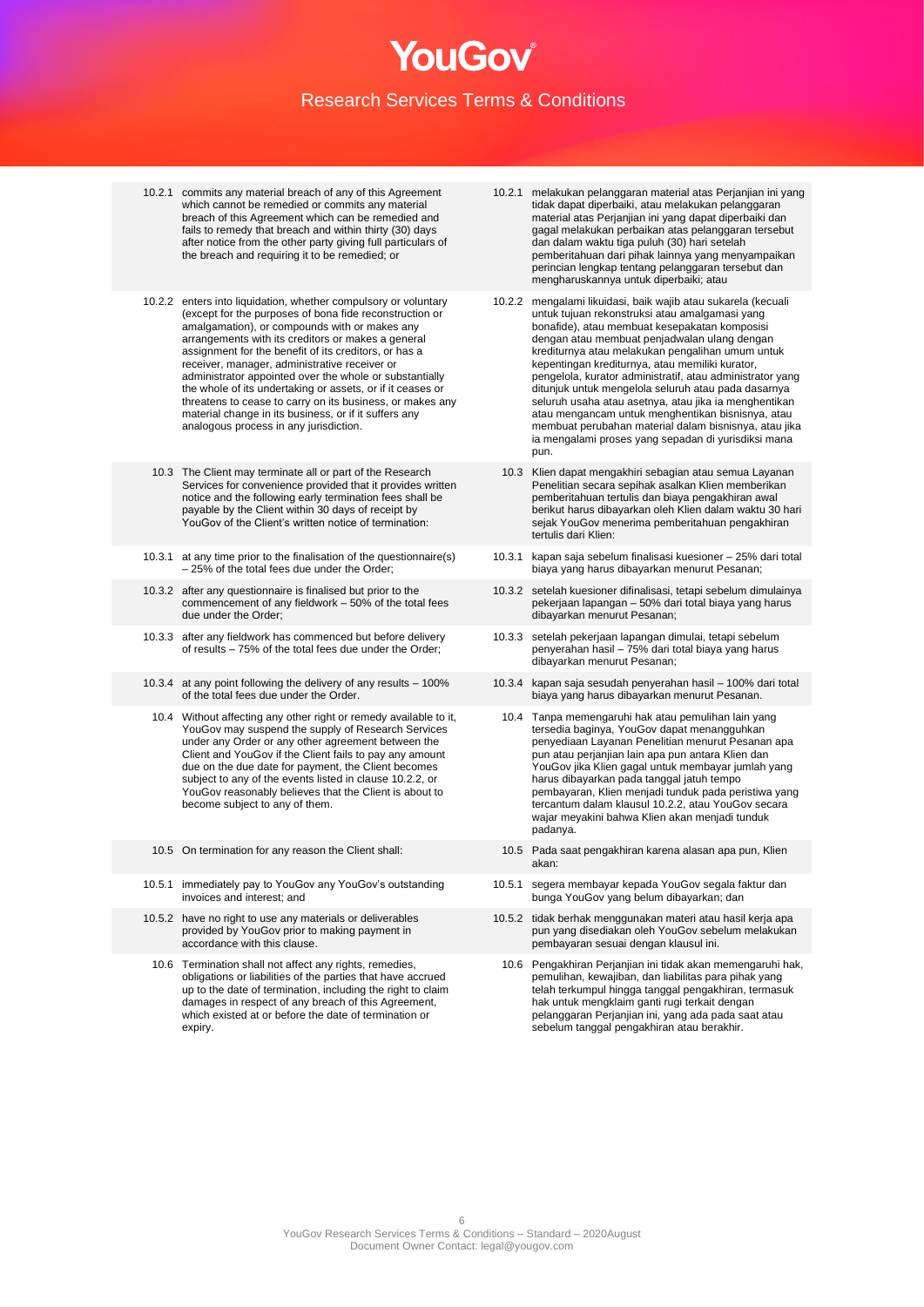- 10.2.1 commits any material breach of any of this Agreement which cannot be remedied or commits any material breach of this Agreement which can be remedied and fails to remedy that breach and within thirty (30) days after notice from the other party giving full particulars of the breach and requiring it to be remedied; or
- 10.2.2 enters into liquidation, whether compulsory or voluntary (except for the purposes of bona fide reconstruction or amalgamation), or compounds with or makes any arrangements with its creditors or makes a general assignment for the benefit of its creditors, or has a receiver, manager, administrative receiver or administrator appointed over the whole or substantially the whole of its undertaking or assets, or if it ceases or threatens to cease to carry on its business, or makes any material change in its business, or if it suffers any analogous process in any jurisdiction.
	- 10.3 The Client may terminate all or part of the Research Services for convenience provided that it provides written notice and the following early termination fees shall be payable by the Client within 30 days of receipt by YouGov of the Client's written notice of termination:
- 10.3.1 at any time prior to the finalisation of the questionnaire(s) – 25% of the total fees due under the Order;
- 10.3.2 after any questionnaire is finalised but prior to the commencement of any fieldwork – 50% of the total fees due under the Order;
- 10.3.3 after any fieldwork has commenced but before delivery of results – 75% of the total fees due under the Order;
- 10.3.4 at any point following the delivery of any results 100% of the total fees due under the Order.
- 10.4 Without affecting any other right or remedy available to it, YouGov may suspend the supply of Research Services under any Order or any other agreement between the Client and YouGov if the Client fails to pay any amount due on the due date for payment, the Client becomes subject to any of the events listed in clause 10.2.2, or YouGov reasonably believes that the Client is about to become subject to any of them.
- 
- 10.5.1 immediately pay to YouGov any YouGov's outstanding invoices and interest; and
- 10.5.2 have no right to use any materials or deliverables provided by YouGov prior to making payment in accordance with this clause.
- 10.6 Termination shall not affect any rights, remedies, obligations or liabilities of the parties that have accrued up to the date of termination, including the right to claim damages in respect of any breach of this Agreement, which existed at or before the date of termination or expiry
- 10.2.1 melakukan pelanggaran material atas Perjanjian ini yang tidak dapat diperbaiki, atau melakukan pelanggaran material atas Perjanjian ini yang dapat diperbaiki dan gagal melakukan perbaikan atas pelanggaran tersebut dan dalam waktu tiga puluh (30) hari setelah pemberitahuan dari pihak lainnya yang menyampaikan perincian lengkap tentang pelanggaran tersebut dan mengharuskannya untuk diperbaiki; atau
- 10.2.2 mengalami likuidasi, baik wajib atau sukarela (kecuali untuk tujuan rekonstruksi atau amalgamasi yang bonafide), atau membuat kesepakatan komposisi dengan atau membuat penjadwalan ulang dengan krediturnya atau melakukan pengalihan umum untuk kepentingan krediturnya, atau memiliki kurator, pengelola, kurator administratif, atau administrator yang ditunjuk untuk mengelola seluruh atau pada dasarnya seluruh usaha atau asetnya, atau jika ia menghentikan atau mengancam untuk menghentikan bisnisnya, atau membuat perubahan material dalam bisnisnya, atau jika ia mengalami proses yang sepadan di yurisdiksi mana pun.
	- 10.3 Klien dapat mengakhiri sebagian atau semua Layanan Penelitian secara sepihak asalkan Klien memberikan pemberitahuan tertulis dan biaya pengakhiran awal berikut harus dibayarkan oleh Klien dalam waktu 30 hari sejak YouGov menerima pemberitahuan pengakhiran tertulis dari Klien:
- 10.3.1 kapan saja sebelum finalisasi kuesioner 25% dari total biaya yang harus dibayarkan menurut Pesanan;
- 10.3.2 setelah kuesioner difinalisasi, tetapi sebelum dimulainya pekerjaan lapangan – 50% dari total biaya yang harus dibayarkan menurut Pesanan;
- 10.3.3 setelah pekerjaan lapangan dimulai, tetapi sebelum penyerahan hasil – 75% dari total biaya yang harus dibayarkan menurut Pesanan;
- 10.3.4 kapan saja sesudah penyerahan hasil 100% dari total biaya yang harus dibayarkan menurut Pesanan.
	- 10.4 Tanpa memengaruhi hak atau pemulihan lain yang tersedia baginya, YouGov dapat menangguhkan penyediaan Layanan Penelitian menurut Pesanan apa pun atau perjanjian lain apa pun antara Klien dan YouGov jika Klien gagal untuk membayar jumlah yang harus dibayarkan pada tanggal jatuh tempo pembayaran, Klien menjadi tunduk pada peristiwa yang tercantum dalam klausul 10.2.2, atau YouGov secara wajar meyakini bahwa Klien akan menjadi tunduk padanya.
- 10.5 On termination for any reason the Client shall: 10.5 Pada saat pengakhiran karena alasan apa pun, Klien akan:
	- 10.5.1 segera membayar kepada YouGov segala faktur dan bunga YouGov yang belum dibayarkan; dan
	- 10.5.2 tidak berhak menggunakan materi atau hasil kerja apa pun yang disediakan oleh YouGov sebelum melakukan pembayaran sesuai dengan klausul ini.
	- 10.6 Pengakhiran Perjanjian ini tidak akan memengaruhi hak, pemulihan, kewajiban, dan liabilitas para pihak yang telah terkumpul hingga tanggal pengakhiran, termasuk hak untuk mengklaim ganti rugi terkait dengan pelanggaran Perjanjian ini, yang ada pada saat atau sebelum tanggal pengakhiran atau berakhir.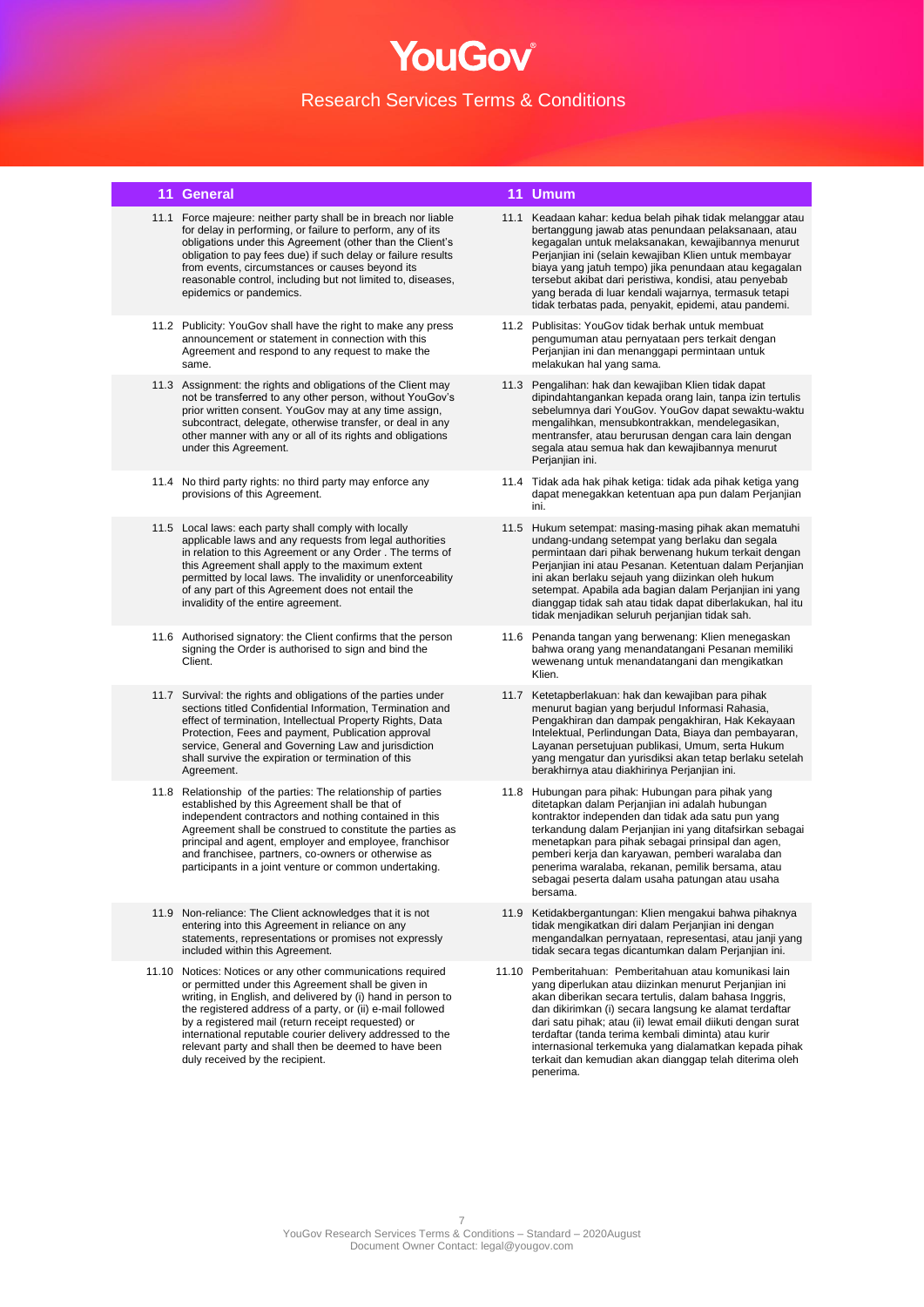### **11 General 11 Umum**

- 11.1 Force majeure: neither party shall be in breach nor liable for delay in performing, or failure to perform, any of its obligations under this Agreement (other than the Client's obligation to pay fees due) if such delay or failure results from events, circumstances or causes beyond its reasonable control, including but not limited to, diseases, epidemics or pandemics.
- 11.2 Publicity: YouGov shall have the right to make any press announcement or statement in connection with this Agreement and respond to any request to make the same.
- 11.3 Assignment: the rights and obligations of the Client may not be transferred to any other person, without YouGov's prior written consent. YouGov may at any time assign, subcontract, delegate, otherwise transfer, or deal in any other manner with any or all of its rights and obligations under this Agreement.
- 11.4 No third party rights: no third party may enforce any provisions of this Agreement.
- 11.5 Local laws: each party shall comply with locally applicable laws and any requests from legal authorities in relation to this Agreement or any Order . The terms of this Agreement shall apply to the maximum extent permitted by local laws. The invalidity or unenforceability of any part of this Agreement does not entail the invalidity of the entire agreement.
- 11.6 Authorised signatory: the Client confirms that the person signing the Order is authorised to sign and bind the Client.
- 11.7 Survival: the rights and obligations of the parties under sections titled Confidential Information, Termination and effect of termination, Intellectual Property Rights, Data Protection, Fees and payment, Publication approval service, General and Governing Law and jurisdiction shall survive the expiration or termination of this Agreement.
- 11.8 Relationship of the parties: The relationship of parties established by this Agreement shall be that of independent contractors and nothing contained in this Agreement shall be construed to constitute the parties as principal and agent, employer and employee, franchisor and franchisee, partners, co-owners or otherwise as participants in a joint venture or common undertaking.
- 11.9 Non-reliance: The Client acknowledges that it is not entering into this Agreement in reliance on any statements, representations or promises not expressly included within this Agreement.
- 11.10 Notices: Notices or any other communications required or permitted under this Agreement shall be given in writing, in English, and delivered by (i) hand in person to the registered address of a party, or (ii) e-mail followed by a registered mail (return receipt requested) or international reputable courier delivery addressed to the relevant party and shall then be deemed to have been duly received by the recipient.

- 11.1 Keadaan kahar: kedua belah pihak tidak melanggar atau bertanggung jawab atas penundaan pelaksanaan, atau kegagalan untuk melaksanakan, kewajibannya menurut Perjanjian ini (selain kewajiban Klien untuk membayar biaya yang jatuh tempo) jika penundaan atau kegagalan tersebut akibat dari peristiwa, kondisi, atau penyebab yang berada di luar kendali wajarnya, termasuk tetapi tidak terbatas pada, penyakit, epidemi, atau pandemi.
- 11.2 Publisitas: YouGov tidak berhak untuk membuat pengumuman atau pernyataan pers terkait dengan Perjanjian ini dan menanggapi permintaan untuk melakukan hal yang sama.
- 11.3 Pengalihan: hak dan kewajiban Klien tidak dapat dipindahtangankan kepada orang lain, tanpa izin tertulis sebelumnya dari YouGov. YouGov dapat sewaktu-waktu mengalihkan, mensubkontrakkan, mendelegasikan, mentransfer, atau berurusan dengan cara lain dengan segala atau semua hak dan kewajibannya menurut Perjanjian ini.
- 11.4 Tidak ada hak pihak ketiga: tidak ada pihak ketiga yang dapat menegakkan ketentuan apa pun dalam Perjanjian ini.
- 11.5 Hukum setempat: masing-masing pihak akan mematuhi undang-undang setempat yang berlaku dan segala permintaan dari pihak berwenang hukum terkait dengan Perjanjian ini atau Pesanan. Ketentuan dalam Perjanjian ini akan berlaku sejauh yang diizinkan oleh hukum setempat. Apabila ada bagian dalam Perjanjian ini yang dianggap tidak sah atau tidak dapat diberlakukan, hal itu tidak menjadikan seluruh perjanjian tidak sah.
- 11.6 Penanda tangan yang berwenang: Klien menegaskan bahwa orang yang menandatangani Pesanan memiliki wewenang untuk menandatangani dan mengikatkan Klien.
- 11.7 Ketetapberlakuan: hak dan kewajiban para pihak menurut bagian yang berjudul Informasi Rahasia, Pengakhiran dan dampak pengakhiran, Hak Kekayaan Intelektual, Perlindungan Data, Biaya dan pembayaran, Layanan persetujuan publikasi, Umum, serta Hukum yang mengatur dan yurisdiksi akan tetap berlaku setelah berakhirnya atau diakhirinya Perjanjian ini.
- 11.8 Hubungan para pihak: Hubungan para pihak yang ditetapkan dalam Perjanjian ini adalah hubungan kontraktor independen dan tidak ada satu pun yang terkandung dalam Perjanjian ini yang ditafsirkan sebagai menetapkan para pihak sebagai prinsipal dan agen, pemberi kerja dan karyawan, pemberi waralaba dan penerima waralaba, rekanan, pemilik bersama, atau sebagai peserta dalam usaha patungan atau usaha bersama.
- 11.9 Ketidakbergantungan: Klien mengakui bahwa pihaknya tidak mengikatkan diri dalam Perjanjian ini dengan mengandalkan pernyataan, representasi, atau janji yang tidak secara tegas dicantumkan dalam Perjanjian ini.
- 11.10 Pemberitahuan: Pemberitahuan atau komunikasi lain yang diperlukan atau diizinkan menurut Perjanjian ini akan diberikan secara tertulis, dalam bahasa Inggris, dan dikirimkan (i) secara langsung ke alamat terdaftar dari satu pihak; atau (ii) lewat email diikuti dengan surat terdaftar (tanda terima kembali diminta) atau kurir internasional terkemuka yang dialamatkan kepada pihak terkait dan kemudian akan dianggap telah diterima oleh penerima.